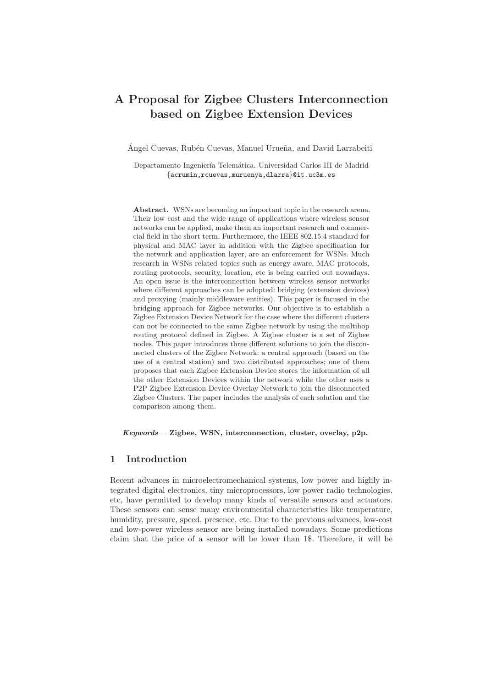# A Proposal for Zigbee Clusters Interconnection based on Zigbee Extension Devices

Ángel Cuevas, Rubén Cuevas, Manuel Urueña, and David Larrabeiti

Departamento Ingeniería Telemática. Universidad Carlos III de Madrid {acrumin,rcuevas,muruenya,dlarra}@it.uc3m.es

Abstract. WSNs are becoming an important topic in the research arena. Their low cost and the wide range of applications where wireless sensor networks can be applied, make them an important research and commercial field in the short term. Furthermore, the IEEE 802.15.4 standard for physical and MAC layer in addition with the Zigbee specification for the network and application layer, are an enforcement for WSNs. Much research in WSNs related topics such as energy-aware, MAC protocols, routing protocols, security, location, etc is being carried out nowadays. An open issue is the interconnection between wireless sensor networks where different approaches can be adopted: bridging (extension devices) and proxying (mainly middleware entities). This paper is focused in the bridging approach for Zigbee networks. Our objective is to establish a Zigbee Extension Device Network for the case where the different clusters can not be connected to the same Zigbee network by using the multihop routing protocol defined in Zigbee. A Zigbee cluster is a set of Zigbee nodes. This paper introduces three different solutions to join the disconnected clusters of the Zigbee Network: a central approach (based on the use of a central station) and two distributed approaches; one of them proposes that each Zigbee Extension Device stores the information of all the other Extension Devices within the network while the other uses a P2P Zigbee Extension Device Overlay Network to join the disconnected Zigbee Clusters. The paper includes the analysis of each solution and the comparison among them.

Keywords— Zigbee, WSN, interconnection, cluster, overlay, p2p.

# 1 Introduction

Recent advances in microelectromechanical systems, low power and highly integrated digital electronics, tiny microprocessors, low power radio technologies, etc, have permitted to develop many kinds of versatile sensors and actuators. These sensors can sense many environmental characteristics like temperature, humidity, pressure, speed, presence, etc. Due to the previous advances, low-cost and low-power wireless sensor are being installed nowadays. Some predictions claim that the price of a sensor will be lower than 1\$. Therefore, it will be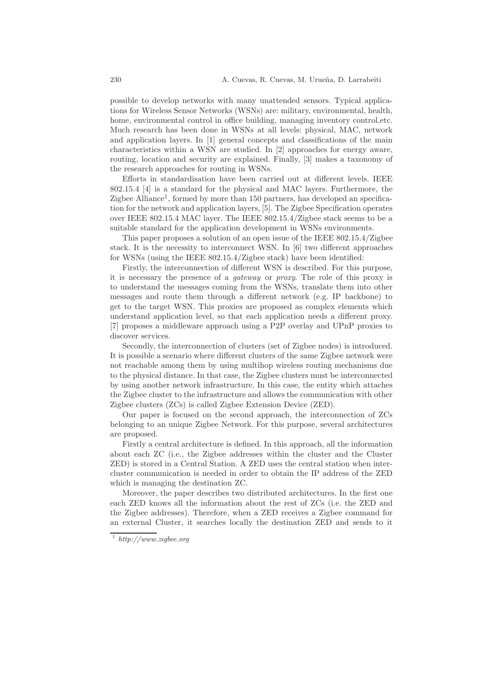possible to develop networks with many unattended sensors. Typical applications for Wireless Sensor Networks (WSNs) are: military, environmental, health, home, environmental control in office building, managing inventory control,etc. Much research has been done in WSNs at all levels: physical, MAC, network and application layers. In [1] general concepts and classifications of the main characteristics within a WSN are studied. In [2] approaches for energy aware, routing, location and security are explained. Finally, [3] makes a taxonomy of the research approaches for routing in WSNs.

Efforts in standardisation have been carried out at different levels. IEEE 802.15.4 [4] is a standard for the physical and MAC layers. Furthermore, the Zigbee Alliance<sup>1</sup>, formed by more than 150 partners, has developed an specification for the network and application layers, [5]. The Zigbee Specification operates over IEEE 802.15.4 MAC layer. The IEEE 802.15.4/Zigbee stack seems to be a suitable standard for the application development in WSNs environments.

This paper proposes a solution of an open issue of the IEEE 802.15.4/Zigbee stack. It is the necessity to interconnect WSN. In [6] two different approaches for WSNs (using the IEEE 802.15.4/Zigbee stack) have been identified:

Firstly, the interconnection of different WSN is described. For this purpose, it is necessary the presence of a gateway or proxy. The role of this proxy is to understand the messages coming from the WSNs, translate them into other messages and route them through a different network (e.g. IP backbone) to get to the target WSN. This proxies are proposed as complex elements which understand application level, so that each application needs a different proxy. [7] proposes a middleware approach using a P2P overlay and UPnP proxies to discover services.

Secondly, the interconnection of clusters (set of Zigbee nodes) is introduced. It is possible a scenario where different clusters of the same Zigbee network were not reachable among them by using multihop wireless routing mechanisms due to the physical distance. In that case, the Zigbee clusters must be interconnected by using another network infrastructure. In this case, the entity which attaches the Zigbee cluster to the infrastructure and allows the communication with other Zigbee clusters (ZCs) is called Zigbee Extension Device (ZED).

Our paper is focused on the second approach, the interconnection of ZCs belonging to an unique Zigbee Network. For this purpose, several architectures are proposed.

Firstly a central architecture is defined. In this approach, all the information about each ZC (i.e., the Zigbee addresses within the cluster and the Cluster ZED) is stored in a Central Station. A ZED uses the central station when intercluster communication is needed in order to obtain the IP address of the ZED which is managing the destination ZC.

Moreover, the paper describes two distributed architectures. In the first one each ZED knows all the information about the rest of ZCs (i.e. the ZED and the Zigbee addresses). Therefore, when a ZED receives a Zigbee command for an external Cluster, it searches locally the destination ZED and sends to it

 $\frac{1}{1}$  http://www.zigbee.org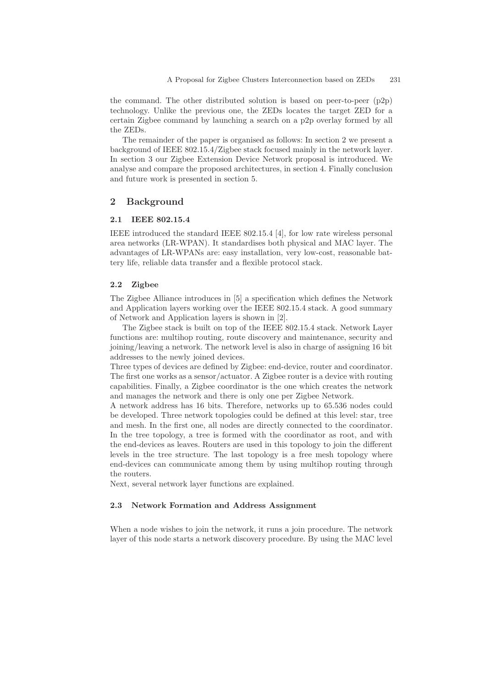the command. The other distributed solution is based on peer-to-peer  $(p2p)$ technology. Unlike the previous one, the ZEDs locates the target ZED for a certain Zigbee command by launching a search on a p2p overlay formed by all the ZEDs.

The remainder of the paper is organised as follows: In section 2 we present a background of IEEE 802.15.4/Zigbee stack focused mainly in the network layer. In section 3 our Zigbee Extension Device Network proposal is introduced. We analyse and compare the proposed architectures, in section 4. Finally conclusion and future work is presented in section 5.

# 2 Background

#### 2.1 IEEE 802.15.4

IEEE introduced the standard IEEE 802.15.4 [4], for low rate wireless personal area networks (LR-WPAN). It standardises both physical and MAC layer. The advantages of LR-WPANs are: easy installation, very low-cost, reasonable battery life, reliable data transfer and a flexible protocol stack.

### 2.2 Zigbee

The Zigbee Alliance introduces in [5] a specification which defines the Network and Application layers working over the IEEE 802.15.4 stack. A good summary of Network and Application layers is shown in [2].

The Zigbee stack is built on top of the IEEE 802.15.4 stack. Network Layer functions are: multihop routing, route discovery and maintenance, security and joining/leaving a network. The network level is also in charge of assigning 16 bit addresses to the newly joined devices.

Three types of devices are defined by Zigbee: end-device, router and coordinator. The first one works as a sensor/actuator. A Zigbee router is a device with routing capabilities. Finally, a Zigbee coordinator is the one which creates the network and manages the network and there is only one per Zigbee Network.

A network address has 16 bits. Therefore, networks up to 65.536 nodes could be developed. Three network topologies could be defined at this level: star, tree and mesh. In the first one, all nodes are directly connected to the coordinator. In the tree topology, a tree is formed with the coordinator as root, and with the end-devices as leaves. Routers are used in this topology to join the different levels in the tree structure. The last topology is a free mesh topology where end-devices can communicate among them by using multihop routing through the routers.

Next, several network layer functions are explained.

# 2.3 Network Formation and Address Assignment

When a node wishes to join the network, it runs a join procedure. The network layer of this node starts a network discovery procedure. By using the MAC level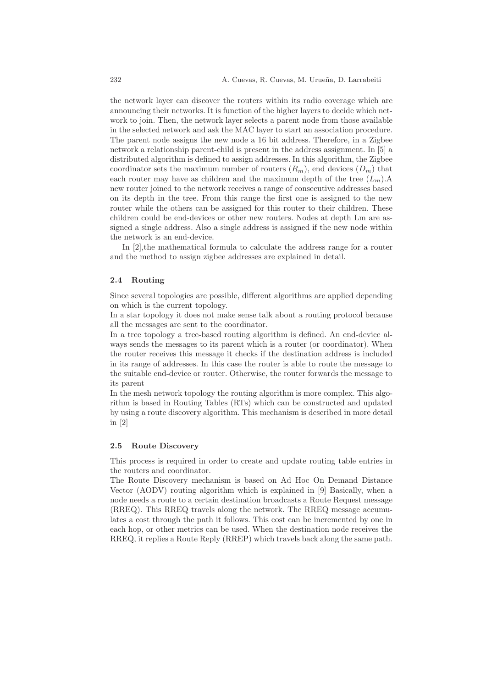the network layer can discover the routers within its radio coverage which are announcing their networks. It is function of the higher layers to decide which network to join. Then, the network layer selects a parent node from those available in the selected network and ask the MAC layer to start an association procedure. The parent node assigns the new node a 16 bit address. Therefore, in a Zigbee network a relationship parent-child is present in the address assignment. In [5] a distributed algorithm is defined to assign addresses. In this algorithm, the Zigbee coordinator sets the maximum number of routers  $(R_m)$ , end devices  $(D_m)$  that each router may have as children and the maximum depth of the tree  $(L_m)$ . new router joined to the network receives a range of consecutive addresses based on its depth in the tree. From this range the first one is assigned to the new router while the others can be assigned for this router to their children. These children could be end-devices or other new routers. Nodes at depth Lm are assigned a single address. Also a single address is assigned if the new node within the network is an end-device.

In [2],the mathematical formula to calculate the address range for a router and the method to assign zigbee addresses are explained in detail.

## 2.4 Routing

Since several topologies are possible, different algorithms are applied depending on which is the current topology.

In a star topology it does not make sense talk about a routing protocol because all the messages are sent to the coordinator.

In a tree topology a tree-based routing algorithm is defined. An end-device always sends the messages to its parent which is a router (or coordinator). When the router receives this message it checks if the destination address is included in its range of addresses. In this case the router is able to route the message to the suitable end-device or router. Otherwise, the router forwards the message to its parent

In the mesh network topology the routing algorithm is more complex. This algorithm is based in Routing Tables (RTs) which can be constructed and updated by using a route discovery algorithm. This mechanism is described in more detail in [2]

#### 2.5 Route Discovery

This process is required in order to create and update routing table entries in the routers and coordinator.

The Route Discovery mechanism is based on Ad Hoc On Demand Distance Vector (AODV) routing algorithm which is explained in [9] Basically, when a node needs a route to a certain destination broadcasts a Route Request message (RREQ). This RREQ travels along the network. The RREQ message accumulates a cost through the path it follows. This cost can be incremented by one in each hop, or other metrics can be used. When the destination node receives the RREQ, it replies a Route Reply (RREP) which travels back along the same path.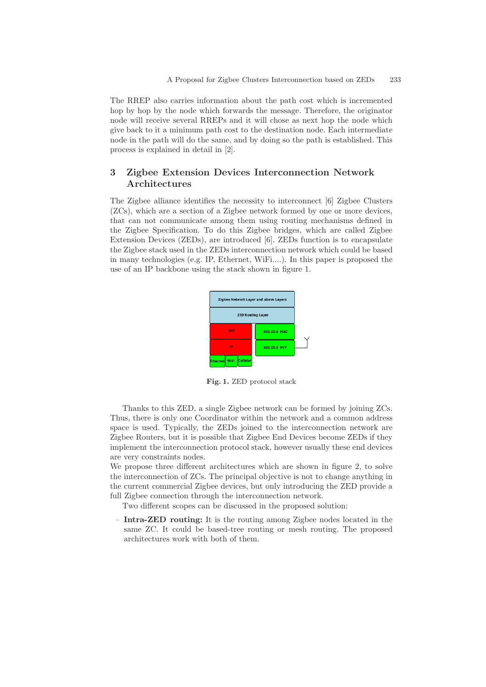The RREP also carries information about the path cost which is incremented hop by hop by the node which forwards the message. Therefore, the originator node will receive several RREPs and it will chose as next hop the node which give back to it a minimum path cost to the destination node. Each intermediate node in the path will do the same, and by doing so the path is established. This process is explained in detail in [2].

# 3 Zigbee Extension Devices Interconnection Network Architectures

The Zigbee alliance identifies the necessity to interconnect [6] Zigbee Clusters (ZCs), which are a section of a Zigbee network formed by one or more devices, that can not communicate among them using routing mechanisms defined in the Zigbee Specification. To do this Zigbee bridges, which are called Zigbee Extension Devices (ZEDs), are introduced [6]. ZEDs function is to encapsulate the Zigbee stack used in the ZEDs interconnection network which could be based in many technologies (e.g. IP, Ethernet, WiFi....). In this paper is proposed the use of an IP backbone using the stack shown in figure 1.



Fig. 1. ZED protocol stack

Thanks to this ZED, a single Zigbee network can be formed by joining ZCs. Thus, there is only one Coordinator within the network and a common address space is used. Typically, the ZEDs joined to the interconnection network are Zigbee Routers, but it is possible that Zigbee End Devices become ZEDs if they implement the interconnection protocol stack, however usually these end devices are very constraints nodes.

We propose three different architectures which are shown in figure 2, to solve the interconnection of ZCs. The principal objective is not to change anything in the current commercial Zigbee devices, but only introducing the ZED provide a full Zigbee connection through the interconnection network.

Two different scopes can be discussed in the proposed solution:

– Intra-ZED routing: It is the routing among Zigbee nodes located in the same ZC. It could be based-tree routing or mesh routing. The proposed architectures work with both of them.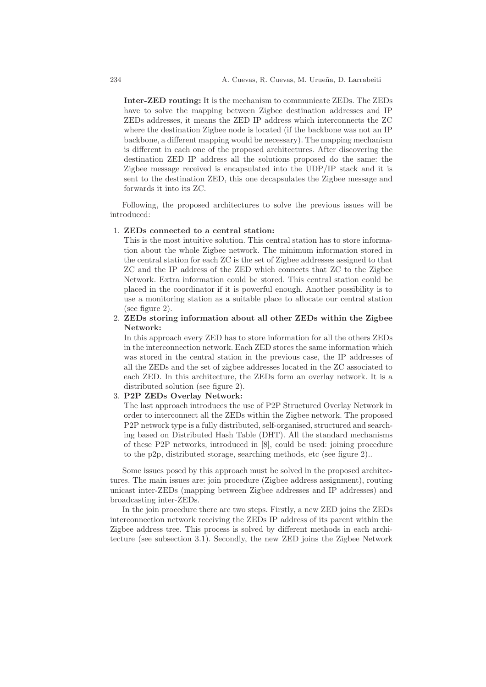– Inter-ZED routing: It is the mechanism to communicate ZEDs. The ZEDs have to solve the mapping between Zigbee destination addresses and IP ZEDs addresses, it means the ZED IP address which interconnects the ZC where the destination Zigbee node is located (if the backbone was not an IP backbone, a different mapping would be necessary). The mapping mechanism is different in each one of the proposed architectures. After discovering the destination ZED IP address all the solutions proposed do the same: the Zigbee message received is encapsulated into the UDP/IP stack and it is sent to the destination ZED, this one decapsulates the Zigbee message and forwards it into its ZC.

Following, the proposed architectures to solve the previous issues will be introduced:

#### 1. ZEDs connected to a central station:

This is the most intuitive solution. This central station has to store information about the whole Zigbee network. The minimum information stored in the central station for each ZC is the set of Zigbee addresses assigned to that ZC and the IP address of the ZED which connects that ZC to the Zigbee Network. Extra information could be stored. This central station could be placed in the coordinator if it is powerful enough. Another possibility is to use a monitoring station as a suitable place to allocate our central station (see figure 2).

# 2. ZEDs storing information about all other ZEDs within the Zigbee Network:

In this approach every ZED has to store information for all the others ZEDs in the interconnection network. Each ZED stores the same information which was stored in the central station in the previous case, the IP addresses of all the ZEDs and the set of zigbee addresses located in the ZC associated to each ZED. In this architecture, the ZEDs form an overlay network. It is a distributed solution (see figure 2).

#### 3. P2P ZEDs Overlay Network:

The last approach introduces the use of P2P Structured Overlay Network in order to interconnect all the ZEDs within the Zigbee network. The proposed P2P network type is a fully distributed, self-organised, structured and searching based on Distributed Hash Table (DHT). All the standard mechanisms of these P2P networks, introduced in [8], could be used: joining procedure to the p2p, distributed storage, searching methods, etc (see figure 2)..

Some issues posed by this approach must be solved in the proposed architectures. The main issues are: join procedure (Zigbee address assignment), routing unicast inter-ZEDs (mapping between Zigbee addresses and IP addresses) and broadcasting inter-ZEDs.

In the join procedure there are two steps. Firstly, a new ZED joins the ZEDs interconnection network receiving the ZEDs IP address of its parent within the Zigbee address tree. This process is solved by different methods in each architecture (see subsection 3.1). Secondly, the new ZED joins the Zigbee Network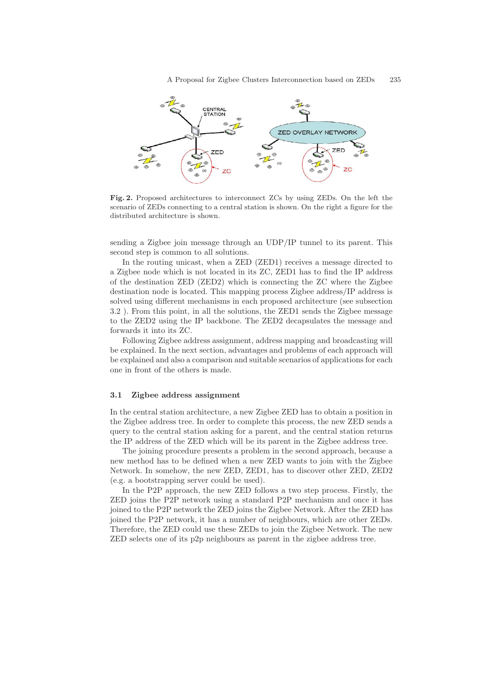

Fig. 2. Proposed architectures to interconnect ZCs by using ZEDs. On the left the scenario of ZEDs connecting to a central station is shown. On the right a figure for the distributed architecture is shown.

sending a Zigbee join message through an UDP/IP tunnel to its parent. This second step is common to all solutions.

In the routing unicast, when a ZED (ZED1) receives a message directed to a Zigbee node which is not located in its ZC, ZED1 has to find the IP address of the destination ZED (ZED2) which is connecting the ZC where the Zigbee destination node is located. This mapping process Zigbee address/IP address is solved using different mechanisms in each proposed architecture (see subsection 3.2 ). From this point, in all the solutions, the ZED1 sends the Zigbee message to the ZED2 using the IP backbone. The ZED2 decapsulates the message and forwards it into its ZC.

Following Zigbee address assignment, address mapping and broadcasting will be explained. In the next section, advantages and problems of each approach will be explained and also a comparison and suitable scenarios of applications for each one in front of the others is made.

#### 3.1 Zigbee address assignment

In the central station architecture, a new Zigbee ZED has to obtain a position in the Zigbee address tree. In order to complete this process, the new ZED sends a query to the central station asking for a parent, and the central station returns the IP address of the ZED which will be its parent in the Zigbee address tree.

The joining procedure presents a problem in the second approach, because a new method has to be defined when a new ZED wants to join with the Zigbee Network. In somehow, the new ZED, ZED1, has to discover other ZED, ZED2 (e.g. a bootstrapping server could be used).

In the P2P approach, the new ZED follows a two step process. Firstly, the ZED joins the P2P network using a standard P2P mechanism and once it has joined to the P2P network the ZED joins the Zigbee Network. After the ZED has joined the P2P network, it has a number of neighbours, which are other ZEDs. Therefore, the ZED could use these ZEDs to join the Zigbee Network. The new ZED selects one of its p2p neighbours as parent in the zigbee address tree.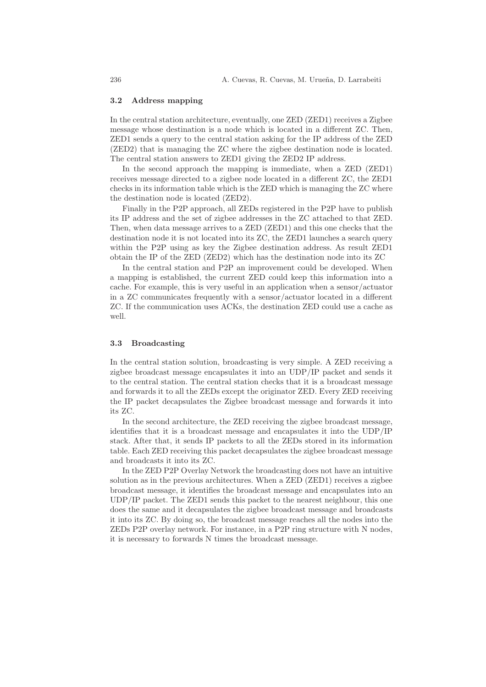#### 3.2 Address mapping

In the central station architecture, eventually, one ZED (ZED1) receives a Zigbee message whose destination is a node which is located in a different ZC. Then, ZED1 sends a query to the central station asking for the IP address of the ZED (ZED2) that is managing the ZC where the zigbee destination node is located. The central station answers to ZED1 giving the ZED2 IP address.

In the second approach the mapping is immediate, when a ZED (ZED1) receives message directed to a zigbee node located in a different ZC, the ZED1 checks in its information table which is the ZED which is managing the ZC where the destination node is located (ZED2).

Finally in the P2P approach, all ZEDs registered in the P2P have to publish its IP address and the set of zigbee addresses in the ZC attached to that ZED. Then, when data message arrives to a ZED (ZED1) and this one checks that the destination node it is not located into its ZC, the ZED1 launches a search query within the P2P using as key the Zigbee destination address. As result ZED1 obtain the IP of the ZED (ZED2) which has the destination node into its ZC

In the central station and P2P an improvement could be developed. When a mapping is established, the current ZED could keep this information into a cache. For example, this is very useful in an application when a sensor/actuator in a ZC communicates frequently with a sensor/actuator located in a different ZC. If the communication uses ACKs, the destination ZED could use a cache as well.

#### 3.3 Broadcasting

In the central station solution, broadcasting is very simple. A ZED receiving a zigbee broadcast message encapsulates it into an UDP/IP packet and sends it to the central station. The central station checks that it is a broadcast message and forwards it to all the ZEDs except the originator ZED. Every ZED receiving the IP packet decapsulates the Zigbee broadcast message and forwards it into its ZC.

In the second architecture, the ZED receiving the zigbee broadcast message, identifies that it is a broadcast message and encapsulates it into the UDP/IP stack. After that, it sends IP packets to all the ZEDs stored in its information table. Each ZED receiving this packet decapsulates the zigbee broadcast message and broadcasts it into its ZC.

In the ZED P2P Overlay Network the broadcasting does not have an intuitive solution as in the previous architectures. When a ZED (ZED1) receives a zigbee broadcast message, it identifies the broadcast message and encapsulates into an UDP/IP packet. The ZED1 sends this packet to the nearest neighbour, this one does the same and it decapsulates the zigbee broadcast message and broadcasts it into its ZC. By doing so, the broadcast message reaches all the nodes into the ZEDs P2P overlay network. For instance, in a P2P ring structure with N nodes, it is necessary to forwards N times the broadcast message.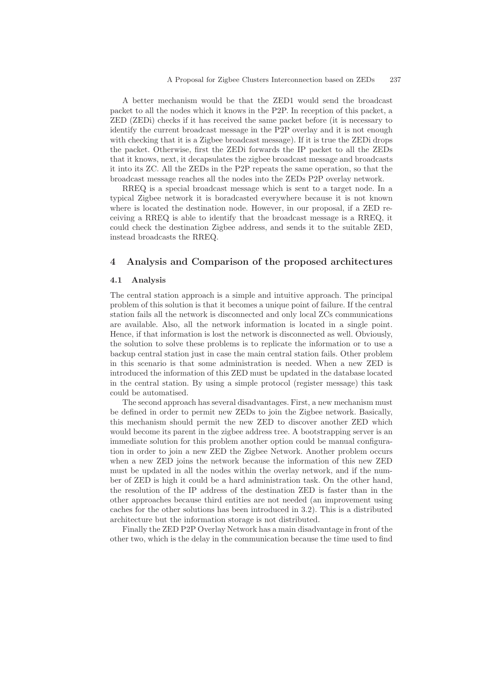A better mechanism would be that the ZED1 would send the broadcast packet to all the nodes which it knows in the P2P. In reception of this packet, a ZED (ZEDi) checks if it has received the same packet before (it is necessary to identify the current broadcast message in the P2P overlay and it is not enough with checking that it is a Zigbee broadcast message). If it is true the ZEDi drops the packet. Otherwise, first the ZEDi forwards the IP packet to all the ZEDs that it knows, next, it decapsulates the zigbee broadcast message and broadcasts it into its ZC. All the ZEDs in the P2P repeats the same operation, so that the broadcast message reaches all the nodes into the ZEDs P2P overlay network.

RREQ is a special broadcast message which is sent to a target node. In a typical Zigbee network it is boradcasted everywhere because it is not known where is located the destination node. However, in our proposal, if a ZED receiving a RREQ is able to identify that the broadcast message is a RREQ, it could check the destination Zigbee address, and sends it to the suitable ZED, instead broadcasts the RREQ.

## 4 Analysis and Comparison of the proposed architectures

#### 4.1 Analysis

The central station approach is a simple and intuitive approach. The principal problem of this solution is that it becomes a unique point of failure. If the central station fails all the network is disconnected and only local ZCs communications are available. Also, all the network information is located in a single point. Hence, if that information is lost the network is disconnected as well. Obviously, the solution to solve these problems is to replicate the information or to use a backup central station just in case the main central station fails. Other problem in this scenario is that some administration is needed. When a new ZED is introduced the information of this ZED must be updated in the database located in the central station. By using a simple protocol (register message) this task could be automatised.

The second approach has several disadvantages. First, a new mechanism must be defined in order to permit new ZEDs to join the Zigbee network. Basically, this mechanism should permit the new ZED to discover another ZED which would become its parent in the zigbee address tree. A bootstrapping server is an immediate solution for this problem another option could be manual configuration in order to join a new ZED the Zigbee Network. Another problem occurs when a new ZED joins the network because the information of this new ZED must be updated in all the nodes within the overlay network, and if the number of ZED is high it could be a hard administration task. On the other hand, the resolution of the IP address of the destination ZED is faster than in the other approaches because third entities are not needed (an improvement using caches for the other solutions has been introduced in 3.2). This is a distributed architecture but the information storage is not distributed.

Finally the ZED P2P Overlay Network has a main disadvantage in front of the other two, which is the delay in the communication because the time used to find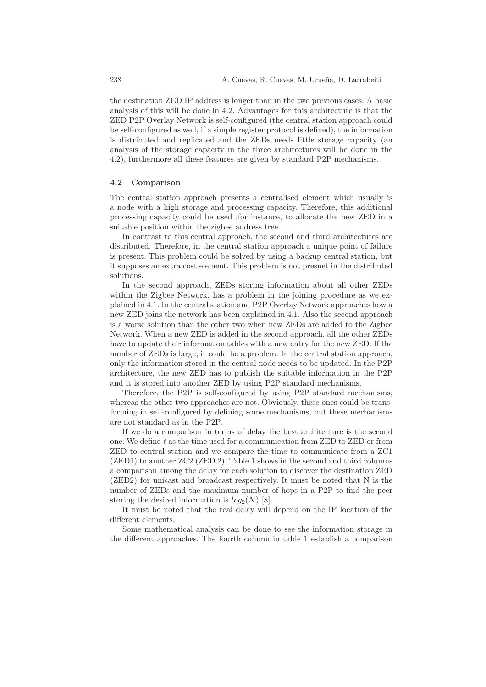the destination ZED IP address is longer than in the two previous cases. A basic analysis of this will be done in 4.2. Advantages for this architecture is that the ZED P2P Overlay Network is self-configured (the central station approach could be self-configured as well, if a simple register protocol is defined), the information is distributed and replicated and the ZEDs needs little storage capacity (an analysis of the storage capacity in the three architectures will be done in the 4.2), furthermore all these features are given by standard P2P mechanisms.

#### 4.2 Comparison

The central station approach presents a centralised element which usually is a node with a high storage and processing capacity. Therefore, this additional processing capacity could be used ,for instance, to allocate the new ZED in a suitable position within the zigbee address tree.

In contrast to this central approach, the second and third architectures are distributed. Therefore, in the central station approach a unique point of failure is present. This problem could be solved by using a backup central station, but it supposes an extra cost element. This problem is not presnet in the distributed solutions.

In the second approach, ZEDs storing information about all other ZEDs within the Zigbee Network, has a problem in the joining procedure as we explained in 4.1. In the central station and P2P Overlay Network approaches how a new ZED joins the network has been explained in 4.1. Also the second approach is a worse solution than the other two when new ZEDs are added to the Zigbee Network. When a new ZED is added in the second approach, all the other ZEDs have to update their information tables with a new entry for the new ZED. If the number of ZEDs is large, it could be a problem. In the central station approach, only the information stored in the central node needs to be updated. In the P2P architecture, the new ZED has to publish the suitable information in the P2P and it is stored into another ZED by using P2P standard mechanisms.

Therefore, the P2P is self-configured by using P2P standard mechanisms, whereas the other two approaches are not. Obviously, these ones could be transforming in self-configured by defining some mechanisms, but these mechanisms are not standard as in the P2P.

If we do a comparison in terms of delay the best architecture is the second one. We define  $t$  as the time used for a communication from ZED to ZED or from ZED to central station and we compare the time to communicate from a ZC1 (ZED1) to another ZC2 (ZED 2). Table 1 shows in the second and third columns a comparison among the delay for each solution to discover the destination ZED (ZED2) for unicast and broadcast respectively. It must be noted that N is the number of ZEDs and the maximum number of hops in a P2P to find the peer storing the desired information is  $log_2(N)$  [8].

It must be noted that the real delay will depend on the IP location of the different elements.

Some mathematical analysis can be done to see the information storage in the different approaches. The fourth column in table 1 establish a comparison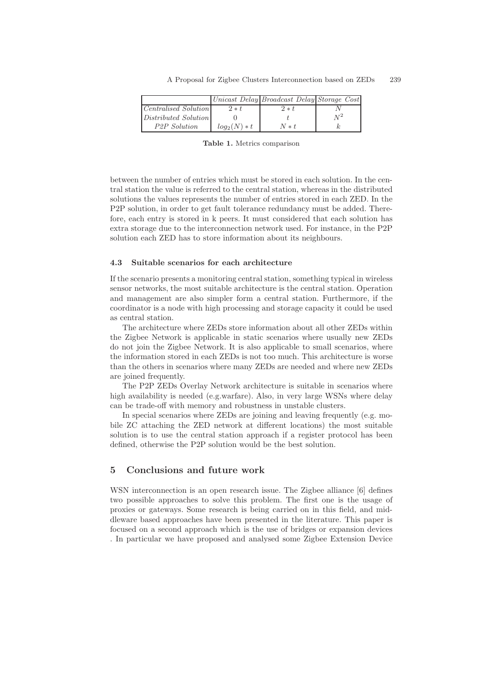|                           |              | Unicast Delay Broadcast Delay Storage Cost |     |
|---------------------------|--------------|--------------------------------------------|-----|
| Centralised Solution      | $2*t$        | $2*t$                                      |     |
| Distributed Solution      |              |                                            | л72 |
| P <sub>2</sub> P Solution | $log_2(N)*t$ | $N*t$                                      |     |

Table 1. Metrics comparison

between the number of entries which must be stored in each solution. In the central station the value is referred to the central station, whereas in the distributed solutions the values represents the number of entries stored in each ZED. In the P2P solution, in order to get fault tolerance redundancy must be added. Therefore, each entry is stored in k peers. It must considered that each solution has extra storage due to the interconnection network used. For instance, in the P2P solution each ZED has to store information about its neighbours.

### 4.3 Suitable scenarios for each architecture

If the scenario presents a monitoring central station, something typical in wireless sensor networks, the most suitable architecture is the central station. Operation and management are also simpler form a central station. Furthermore, if the coordinator is a node with high processing and storage capacity it could be used as central station.

The architecture where ZEDs store information about all other ZEDs within the Zigbee Network is applicable in static scenarios where usually new ZEDs do not join the Zigbee Network. It is also applicable to small scenarios, where the information stored in each ZEDs is not too much. This architecture is worse than the others in scenarios where many ZEDs are needed and where new ZEDs are joined frequently.

The P2P ZEDs Overlay Network architecture is suitable in scenarios where high availability is needed (e.g.warfare). Also, in very large WSNs where delay can be trade-off with memory and robustness in unstable clusters.

In special scenarios where ZEDs are joining and leaving frequently (e.g. mobile ZC attaching the ZED network at different locations) the most suitable solution is to use the central station approach if a register protocol has been defined, otherwise the P2P solution would be the best solution.

# 5 Conclusions and future work

WSN interconnection is an open research issue. The Zigbee alliance [6] defines two possible approaches to solve this problem. The first one is the usage of proxies or gateways. Some research is being carried on in this field, and middleware based approaches have been presented in the literature. This paper is focused on a second approach which is the use of bridges or expansion devices . In particular we have proposed and analysed some Zigbee Extension Device